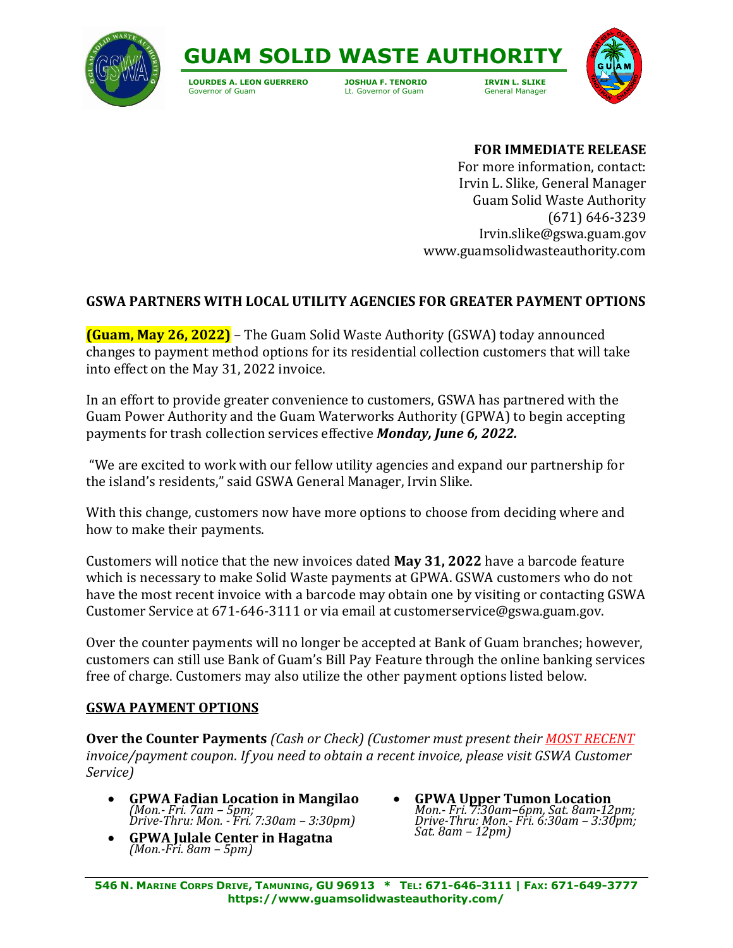



**LOURDES A. LEON GUERRERO JOSHUA F. TENORIO IRVIN L. SLIKE**

Lt. Governor of Guam



## **FOR IMMEDIATE RELEASE**

For more information, contact: Irvin L. Slike, General Manager Guam Solid Waste Authority (671) 646-3239 Irvin.slike@gswa.guam.gov www.guamsolidwasteauthority.com

## **GSWA PARTNERS WITH LOCAL UTILITY AGENCIES FOR GREATER PAYMENT OPTIONS**

**(Guam, May 26, 2022)** – The Guam Solid Waste Authority (GSWA) today announced changes to payment method options for its residential collection customers that will take into effect on the May 31, 2022 invoice.

In an effort to provide greater convenience to customers, GSWA has partnered with the Guam Power Authority and the Guam Waterworks Authority (GPWA) to begin accepting payments for trash collection services effective *Monday, June 6, 2022.*

"We are excited to work with our fellow utility agencies and expand our partnership for the island's residents," said GSWA General Manager, Irvin Slike.

With this change, customers now have more options to choose from deciding where and how to make their payments.

Customers will notice that the new invoices dated **May 31, 2022** have a barcode feature which is necessary to make Solid Waste payments at GPWA. GSWA customers who do not have the most recent invoice with a barcode may obtain one by visiting or contacting GSWA Customer Service at 671-646-3111 or via email at customerservice@gswa.guam.gov.

Over the counter payments will no longer be accepted at Bank of Guam branches; however, customers can still use Bank of Guam's Bill Pay Feature through the online banking services free of charge. Customers may also utilize the other payment options listed below.

## **GSWA PAYMENT OPTIONS**

**Over the Counter Payments** *(Cash or Check) (Customer must present their MOST RECENT invoice/payment coupon. If you need to obtain a recent invoice, please visit GSWA Customer Service)*

- **GPWA Fadian Location in Mangilao** *(Mon.- Fri. 7am – 5pm; Drive-Thru: Mon. - Fri. 7:30am – 3:30pm)*
- **GPWA Julale Center in Hagatna** *(Mon.-Fri. 8am – 5pm)*
- **GPWA Upper Tumon Location** *Mon.- Fri. 7:30am–6pm, Sat. 8am-12pm; Drive-Thru: Mon.- Fri. 6:30am – 3:30pm; Sat. 8am – 12pm)*

546 N. MARINE CORPS DRIVE, TAMUNING, GU 96913 \* TEL: 671-646-3111 | FAX: 671-649-3777 **https://www.guamsolidwasteauthority.com/**